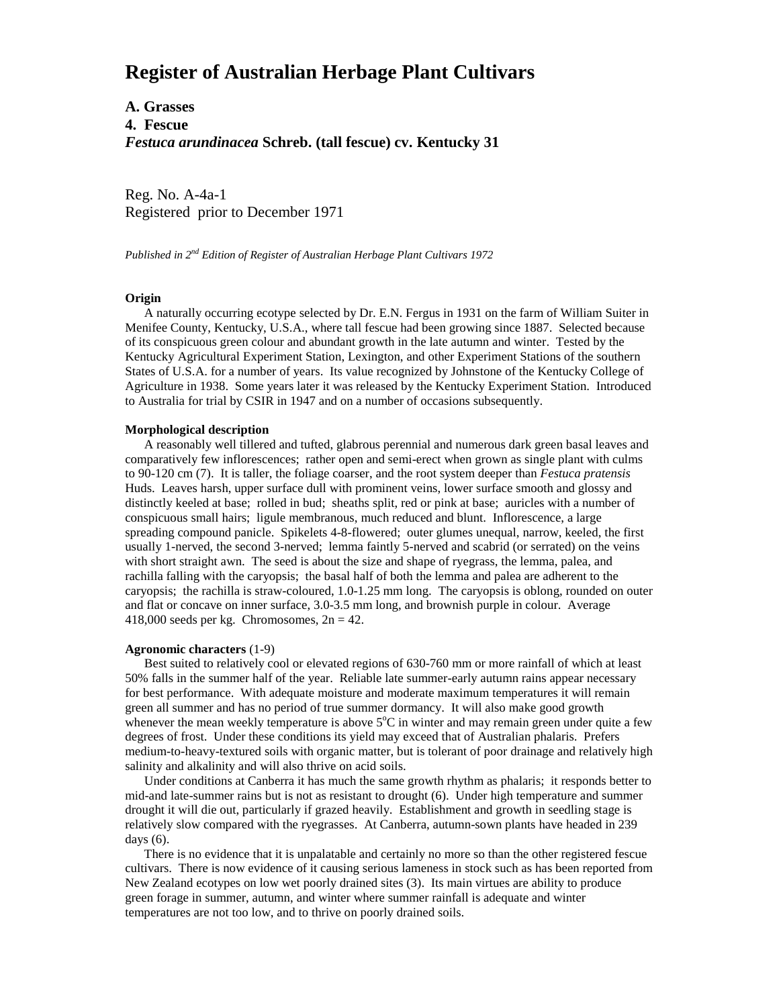# **Register of Australian Herbage Plant Cultivars**

**A. Grasses 4. Fescue** *Festuca arundinacea* **Schreb. (tall fescue) cv. Kentucky 31**

Reg. No. A-4a-1 Registered prior to December 1971

*Published in 2nd Edition of Register of Australian Herbage Plant Cultivars 1972*

## **Origin**

 A naturally occurring ecotype selected by Dr. E.N. Fergus in 1931 on the farm of William Suiter in Menifee County, Kentucky, U.S.A., where tall fescue had been growing since 1887. Selected because of its conspicuous green colour and abundant growth in the late autumn and winter. Tested by the Kentucky Agricultural Experiment Station, Lexington, and other Experiment Stations of the southern States of U.S.A. for a number of years. Its value recognized by Johnstone of the Kentucky College of Agriculture in 1938. Some years later it was released by the Kentucky Experiment Station. Introduced to Australia for trial by CSIR in 1947 and on a number of occasions subsequently.

### **Morphological description**

 A reasonably well tillered and tufted, glabrous perennial and numerous dark green basal leaves and comparatively few inflorescences; rather open and semi-erect when grown as single plant with culms to 90-120 cm (7). It is taller, the foliage coarser, and the root system deeper than *Festuca pratensis* Huds. Leaves harsh, upper surface dull with prominent veins, lower surface smooth and glossy and distinctly keeled at base; rolled in bud; sheaths split, red or pink at base; auricles with a number of conspicuous small hairs; ligule membranous, much reduced and blunt. Inflorescence, a large spreading compound panicle. Spikelets 4-8-flowered; outer glumes unequal, narrow, keeled, the first usually 1-nerved, the second 3-nerved; lemma faintly 5-nerved and scabrid (or serrated) on the veins with short straight awn. The seed is about the size and shape of ryegrass, the lemma, palea, and rachilla falling with the caryopsis; the basal half of both the lemma and palea are adherent to the caryopsis; the rachilla is straw-coloured, 1.0-1.25 mm long. The caryopsis is oblong, rounded on outer and flat or concave on inner surface, 3.0-3.5 mm long, and brownish purple in colour. Average 418,000 seeds per kg. Chromosomes,  $2n = 42$ .

#### **Agronomic characters** (1-9)

 Best suited to relatively cool or elevated regions of 630-760 mm or more rainfall of which at least 50% falls in the summer half of the year. Reliable late summer-early autumn rains appear necessary for best performance. With adequate moisture and moderate maximum temperatures it will remain green all summer and has no period of true summer dormancy. It will also make good growth whenever the mean weekly temperature is above  $5^{\circ}$ C in winter and may remain green under quite a few degrees of frost. Under these conditions its yield may exceed that of Australian phalaris. Prefers medium-to-heavy-textured soils with organic matter, but is tolerant of poor drainage and relatively high salinity and alkalinity and will also thrive on acid soils.

 Under conditions at Canberra it has much the same growth rhythm as phalaris; it responds better to mid-and late-summer rains but is not as resistant to drought (6). Under high temperature and summer drought it will die out, particularly if grazed heavily. Establishment and growth in seedling stage is relatively slow compared with the ryegrasses. At Canberra, autumn-sown plants have headed in 239 days (6).

 There is no evidence that it is unpalatable and certainly no more so than the other registered fescue cultivars. There is now evidence of it causing serious lameness in stock such as has been reported from New Zealand ecotypes on low wet poorly drained sites (3). Its main virtues are ability to produce green forage in summer, autumn, and winter where summer rainfall is adequate and winter temperatures are not too low, and to thrive on poorly drained soils.